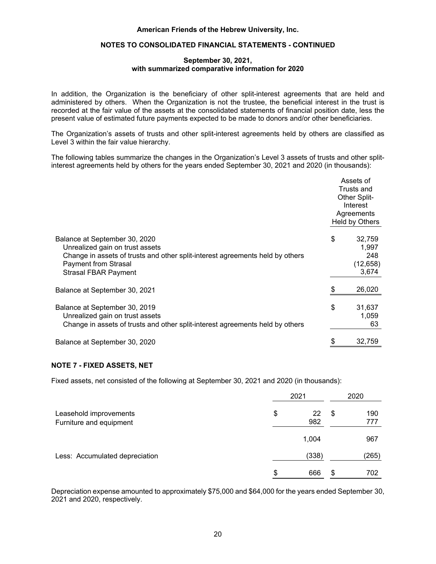

## **September 30, 2021, with summarized comparative information for 2020**

The Organization uses the NAV to determine the fair value of all the underlying investments which: (a) do not have a readily determinable fair value; and (b) prepare their investees' financial statements consistent with the measurement principles of an investment company or have the attributes of an investment company. Per the accounting standard governing NAV as a practical expedient, the following table lists investments in other companies by major category as of September 30, 2021 and 2020 (in thousands):

| 2021                                                        |    |                        |                      |    |                                      |                                                                  |                                                  |
|-------------------------------------------------------------|----|------------------------|----------------------|----|--------------------------------------|------------------------------------------------------------------|--------------------------------------------------|
| <b>Type</b>                                                 |    | <b>NAV</b><br>in Funds | # of<br><b>Funds</b> |    | Amount of<br>Unfunded<br>Commitments | Redemption<br>Terms                                              | Redemption<br><b>Restrictions</b>                |
| Private equity (a)                                          | \$ | 15,033                 | 5                    | \$ | 18,816                               | N/A                                                              | Not permitted to<br>withdraw from<br>partnership |
| Venture capital (b)                                         |    | 26,126                 | 6                    |    | 14,400                               | N/A                                                              | Not permitted to<br>withdraw from<br>partnership |
| Private equity<br>invested in real<br>estate <sup>(c)</sup> |    | 12,100                 | 5                    |    | 21,384                               | N/A                                                              | Not permitted to<br>withdraw from<br>partnership |
| Hedge funds (d)                                             |    | 123,271                | 8                    |    | 4,196                                | 30-95 days'<br>notice and<br>annual/<br>quarterly<br>redemptions | Various                                          |
|                                                             | \$ | 176,530                |                      | \$ | 58,796                               |                                                                  |                                                  |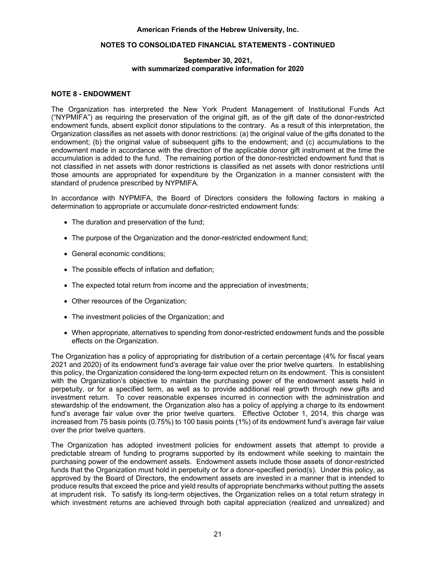

|                                                             |                        |                      | 2020 |                                      |                                                                  |                                                                                       |
|-------------------------------------------------------------|------------------------|----------------------|------|--------------------------------------|------------------------------------------------------------------|---------------------------------------------------------------------------------------|
| <b>Type</b>                                                 | <b>NAV</b><br>in Funds | # of<br><b>Funds</b> |      | Amount of<br>Unfunded<br>Commitments | Redemption<br><b>Terms</b>                                       | Redemption<br>Restrictions                                                            |
| Private equity (a)                                          | \$<br>5,942            | 7                    | \$   | 8,989                                | N/A                                                              | Not permitted to<br>withdraw from<br>partnership<br>Not permitted to<br>withdraw from |
| Venture capital (b)                                         | 9,199                  | 4                    |      | 10,344                               | N/A                                                              | partnership                                                                           |
| Private equity<br>invested in real<br>estate <sup>(c)</sup> | 7,484                  | 5                    |      | 24,696                               | N/A                                                              | Not permitted to<br>withdraw from<br>partnership                                      |
| Hedge funds (d)                                             | 72,608                 | 6                    |      | 1,927                                | 60-95 days'<br>notice and<br>annual/<br>quarterly<br>redemptions | Various                                                                               |
|                                                             | \$<br>95,233           |                      | \$   | 45,956                               |                                                                  |                                                                                       |

## **September 30, 2021, with summarized comparative information for 2020**

The following lists investments by major category:

- (a) Privately held investments with a variety of strategies, market segments, geographies and market caps with the objective of obtaining long-term growth, primarily equity securities and warrants that are not actively traded.
- (b) Privately held investments in emerging growth company funds with a variety of strategies, market segments and geographies. Primarily equity securities that are not actively traded.
- (c) Privately held investments in real estate funds with a variety of strategies, market segments and geographies (primarily US) with the objective of cash flowing investments and opportunistic investments with upside potential. Combination of equity and debt instruments.
- (d) Limited and general partnerships, unit trusts or hedge funds with variety of investment strategies including the private and public debt and equity markets both domestic and international.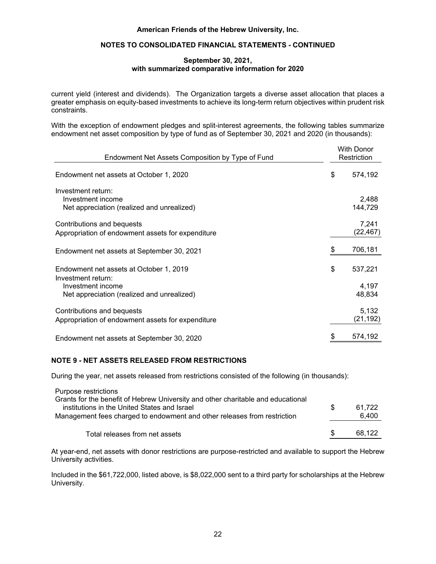

#### **September 30, 2021, with summarized comparative information for 2020**

Investment return comprises interest, dividends, and realized and unrealized gains and losses. Return for the years ended September 30, 2021 and 2020 consisted of the following (in thousands):

|                                                                          | <b>Without Donor</b><br>Restriction |       | <b>With Donor</b><br>Restriction |           | 2021 Total |          | 2020 Total |           |
|--------------------------------------------------------------------------|-------------------------------------|-------|----------------------------------|-----------|------------|----------|------------|-----------|
| Interest and dividends<br>Net realized gains on sale of                  | \$                                  | 437   | \$                               | 8,352     | \$         | 8,789    | \$         | 10,760    |
| Investments<br>Net unrealized gains on                                   |                                     | 36    |                                  | 55,551    |            | 55,587   |            | 71,920    |
| investments                                                              |                                     | 1,394 |                                  | 113,363   |            | 114,758  |            | (14, 253) |
| Total investment<br>gains                                                |                                     | 1,867 |                                  | 177,266   |            | 179,134  |            | 68,427    |
| Investment return used for<br>operations                                 |                                     | (437) |                                  | (31, 563) |            | (32,000) |            | (30, 406) |
| Net investment<br>return, in excess<br>of amounts used<br>for operations | \$                                  | 1,430 | S                                | 145,703   | \$         | 147,133  | \$         | 38,021    |

The Organization's spending policy states distributions from all endowment funds, if not otherwise limited, shall be limited to 4% for fiscal years 2021 and 2020.

For fiscal 2021 and 2020, \$1,142,000 and \$377,000, respectively, of investment advisory and custodial fees were netted against investment income.

## **NOTE 6 - SPLIT-INTEREST AGREEMENTS**

The Organization is a beneficiary under certain split-interest agreements in which the donor has established a charitable remainder unitrust, annuity trust or charitable gift annuity with specified distributions to be made over the term of the trust to the donor and/or other beneficiaries. The Organization manages and invests these assets on behalf of these beneficiaries until the agreement expires and the assets are distributed. Contribution revenue is recognized at the date the trust or annuity contract is established after recording liabilities for the present value of the estimated future payments expected to be made to the donors and/or other beneficiaries. The liabilities are adjusted annually for changes in the life expectancy of the donor or beneficiary, amortization of the discount and other changes in the estimates of future payments. The discount rate used to value new split-interest agreements ranged from 0.4% to 1.2% and 0.6% to 2.2% for the years ended September 30, 2021 and 2020, respectively. The Organization recorded contributions from new split-interest agreements of approximately \$82,000 and \$632,000 for the years ended September 30, 2021 and 2020, respectively. These amounts are included in contributions in the accompanying consolidated statements of activities. At September 30, 2021 and 2020, the Organization's liabilities under split-interest agreements were classified as Level 3 within the fair value hierarchy as required by US GAAP for fair value measurement (see Note 2).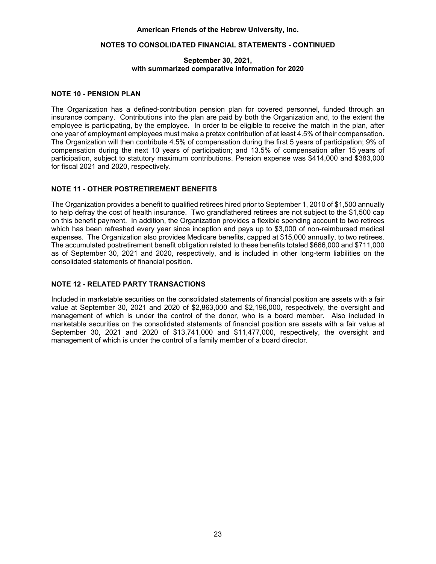

#### **September 30, 2021, with summarized comparative information for 2020**

The following tables summarize the changes in the Organization's Level 3 liabilities under split-interest agreements for the years ended September 30, 2021 and 2020 (in thousands):

|                                                                                                                                                         | <b>Liability Under</b><br>Split-Interest<br>Agreements |  |  |
|---------------------------------------------------------------------------------------------------------------------------------------------------------|--------------------------------------------------------|--|--|
| Balance at September 30, 2020<br>New agreements<br>Payments to annuitants<br><b>Terminated contracts</b><br>Change in value due to actuarial valuations | \$<br>17,227<br>113<br>(1,982)<br>(194)<br>1,946       |  |  |
| Balance at September 30, 2021                                                                                                                           | 17,110                                                 |  |  |
|                                                                                                                                                         | <b>Liability Under</b><br>Split-Interest<br>Agreements |  |  |
| Balance at September 30, 2019<br>New agreements<br>Payments to annuitants<br><b>Terminated contracts</b><br>Change in value due to actuarial valuations | \$<br>16,688<br>1,147<br>(1,926)<br>(347)<br>1,665     |  |  |
| Balance at September 30, 2020                                                                                                                           | \$<br>17,227                                           |  |  |

The following tables summarize investments in split-interest agreements within the fair value hierarchy (see Note 2) as of September 30, 2021 and 2020 (in thousands):

|                                                                                                     | 2021 |                           |    |                           |  |
|-----------------------------------------------------------------------------------------------------|------|---------------------------|----|---------------------------|--|
|                                                                                                     |      | Level 1                   |    | Total                     |  |
| Cash and cash equivalents<br>Equities including mutual funds<br>Fixed income including mutual funds | \$   | 1,220<br>17,690<br>10,809 | \$ | 1,220<br>17,690<br>10,809 |  |
| Total                                                                                               | \$   | 29,719                    | \$ | 29,719                    |  |
|                                                                                                     | 2020 |                           |    |                           |  |
|                                                                                                     |      | Level 1                   |    | Total                     |  |
| Cash and cash equivalents<br>Equities including mutual funds<br>Fixed income including mutual funds | \$   | 850<br>15,331<br>10,830   | \$ | 850<br>15,331<br>10,830   |  |
| Total                                                                                               | \$   | 27,011                    | \$ | 27,011                    |  |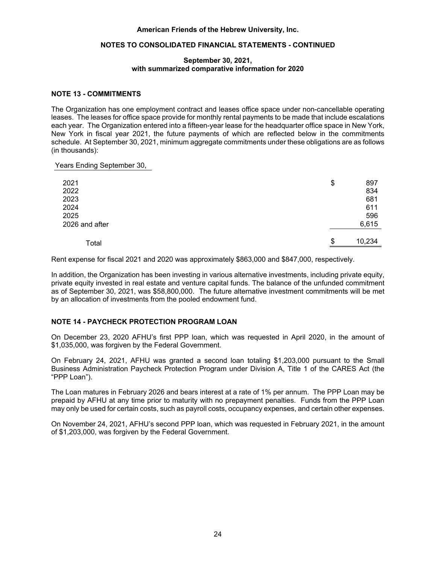

#### **September 30, 2021, with summarized comparative information for 2020**

In addition, the Organization is the beneficiary of other split-interest agreements that are held and administered by others. When the Organization is not the trustee, the beneficial interest in the trust is recorded at the fair value of the assets at the consolidated statements of financial position date, less the present value of estimated future payments expected to be made to donors and/or other beneficiaries.

The Organization's assets of trusts and other split-interest agreements held by others are classified as Level 3 within the fair value hierarchy.

The following tables summarize the changes in the Organization's Level 3 assets of trusts and other splitinterest agreements held by others for the years ended September 30, 2021 and 2020 (in thousands):

|                                                                                                                                                                                                                 |    | Assets of<br>Trusts and<br><b>Other Split-</b><br>Interest<br>Agreements<br>Held by Others |
|-----------------------------------------------------------------------------------------------------------------------------------------------------------------------------------------------------------------|----|--------------------------------------------------------------------------------------------|
| Balance at September 30, 2020<br>Unrealized gain on trust assets<br>Change in assets of trusts and other split-interest agreements held by others<br><b>Payment from Strasal</b><br><b>Strasal FBAR Payment</b> | \$ | 32,759<br>1,997<br>248<br>(12, 658)<br>3,674                                               |
| Balance at September 30, 2021                                                                                                                                                                                   | S  | 26,020                                                                                     |
| Balance at September 30, 2019<br>Unrealized gain on trust assets<br>Change in assets of trusts and other split-interest agreements held by others                                                               | \$ | 31,637<br>1,059<br>63                                                                      |
| Balance at September 30, 2020                                                                                                                                                                                   |    | 32,759                                                                                     |

## **NOTE 7 - FIXED ASSETS, NET**

Fixed assets, net consisted of the following at September 30, 2021 and 2020 (in thousands):

|                                                   |    | 2021      |   | 2020       |
|---------------------------------------------------|----|-----------|---|------------|
| Leasehold improvements<br>Furniture and equipment | \$ | 22<br>982 | S | 190<br>777 |
|                                                   |    | 1,004     |   | 967        |
| Less: Accumulated depreciation                    |    | (338)     |   | (265)      |
|                                                   | S  | 666       | S | 702        |

Depreciation expense amounted to approximately \$75,000 and \$64,000 for the years ended September 30, 2021 and 2020, respectively.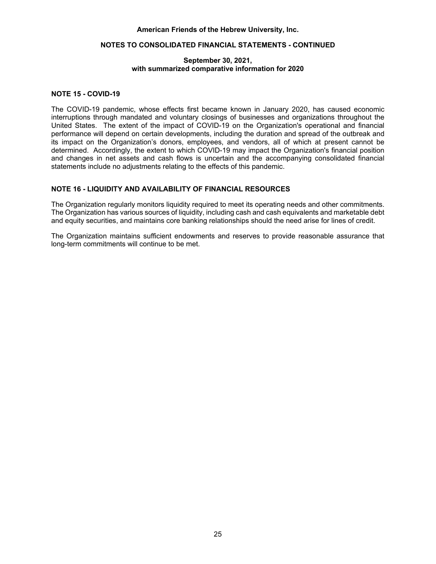

#### **September 30, 2021, with summarized comparative information for 2020**

### **NOTE 8 - ENDOWMENT**

The Organization has interpreted the New York Prudent Management of Institutional Funds Act ("NYPMIFA") as requiring the preservation of the original gift, as of the gift date of the donor-restricted endowment funds, absent explicit donor stipulations to the contrary. As a result of this interpretation, the Organization classifies as net assets with donor restrictions: (a) the original value of the gifts donated to the endowment; (b) the original value of subsequent gifts to the endowment; and (c) accumulations to the endowment made in accordance with the direction of the applicable donor gift instrument at the time the accumulation is added to the fund. The remaining portion of the donor-restricted endowment fund that is not classified in net assets with donor restrictions is classified as net assets with donor restrictions until those amounts are appropriated for expenditure by the Organization in a manner consistent with the standard of prudence prescribed by NYPMIFA.

In accordance with NYPMIFA, the Board of Directors considers the following factors in making a determination to appropriate or accumulate donor-restricted endowment funds:

- The duration and preservation of the fund;
- The purpose of the Organization and the donor-restricted endowment fund;
- General economic conditions;
- The possible effects of inflation and deflation;
- The expected total return from income and the appreciation of investments;
- Other resources of the Organization;
- The investment policies of the Organization; and
- When appropriate, alternatives to spending from donor-restricted endowment funds and the possible effects on the Organization.

The Organization has a policy of appropriating for distribution of a certain percentage (4% for fiscal years 2021 and 2020) of its endowment fund's average fair value over the prior twelve quarters. In establishing this policy, the Organization considered the long-term expected return on its endowment. This is consistent with the Organization's objective to maintain the purchasing power of the endowment assets held in perpetuity, or for a specified term, as well as to provide additional real growth through new gifts and investment return. To cover reasonable expenses incurred in connection with the administration and stewardship of the endowment, the Organization also has a policy of applying a charge to its endowment fund's average fair value over the prior twelve quarters. Effective October 1, 2014, this charge was increased from 75 basis points (0.75%) to 100 basis points (1%) of its endowment fund's average fair value over the prior twelve quarters.

The Organization has adopted investment policies for endowment assets that attempt to provide a predictable stream of funding to programs supported by its endowment while seeking to maintain the purchasing power of the endowment assets. Endowment assets include those assets of donor-restricted funds that the Organization must hold in perpetuity or for a donor-specified period(s). Under this policy, as approved by the Board of Directors, the endowment assets are invested in a manner that is intended to produce results that exceed the price and yield results of appropriate benchmarks without putting the assets at imprudent risk. To satisfy its long-term objectives, the Organization relies on a total return strategy in which investment returns are achieved through both capital appreciation (realized and unrealized) and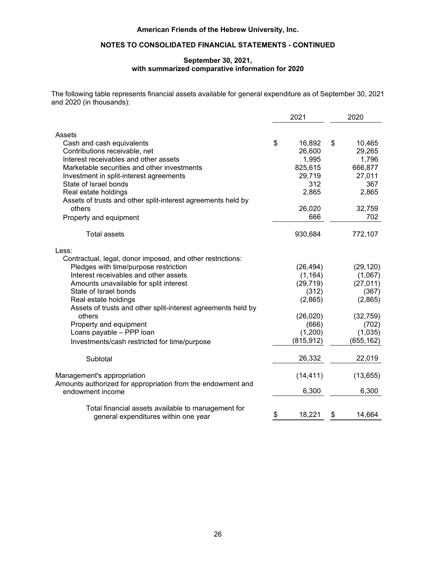

#### **September 30, 2021, with summarized comparative information for 2020**

current yield (interest and dividends). The Organization targets a diverse asset allocation that places a greater emphasis on equity-based investments to achieve its long-term return objectives within prudent risk constraints.

With the exception of endowment pledges and split-interest agreements, the following tables summarize endowment net asset composition by type of fund as of September 30, 2021 and 2020 (in thousands):

| Endowment Net Assets Composition by Type of Fund                                      | <b>With Donor</b><br>Restriction |                   |  |
|---------------------------------------------------------------------------------------|----------------------------------|-------------------|--|
| Endowment net assets at October 1, 2020                                               | \$                               | 574,192           |  |
| Investment return:<br>Investment income<br>Net appreciation (realized and unrealized) |                                  | 2,488<br>144,729  |  |
| Contributions and bequests<br>Appropriation of endowment assets for expenditure       |                                  | 7,241<br>(22,467) |  |
| Endowment net assets at September 30, 2021                                            | \$                               | 706,181           |  |
| Endowment net assets at October 1, 2019<br>Investment return:                         | \$                               | 537,221           |  |
| Investment income<br>Net appreciation (realized and unrealized)                       |                                  | 4,197<br>48,834   |  |
| Contributions and bequests<br>Appropriation of endowment assets for expenditure       |                                  | 5,132<br>(21,192) |  |
| Endowment net assets at September 30, 2020                                            | \$                               | 574,192           |  |

## **NOTE 9 - NET ASSETS RELEASED FROM RESTRICTIONS**

During the year, net assets released from restrictions consisted of the following (in thousands):

| \$. | 61.722 |
|-----|--------|
|     | 6.400  |
|     | 68.122 |
|     |        |

At year-end, net assets with donor restrictions are purpose-restricted and available to support the Hebrew University activities.

Included in the \$61,722,000, listed above, is \$8,022,000 sent to a third party for scholarships at the Hebrew University.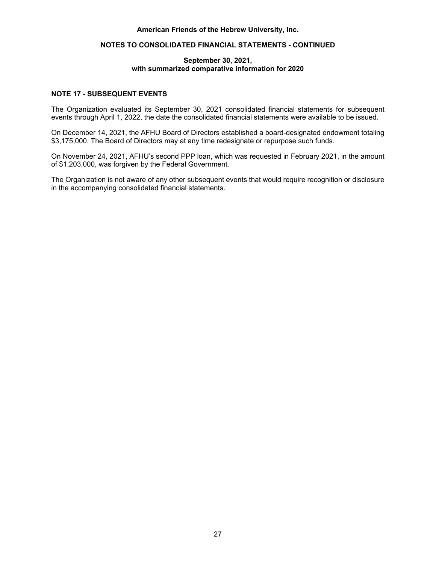

#### **September 30, 2021, with summarized comparative information for 2020**

#### **NOTE 10 - PENSION PLAN**

The Organization has a defined-contribution pension plan for covered personnel, funded through an insurance company. Contributions into the plan are paid by both the Organization and, to the extent the employee is participating, by the employee. In order to be eligible to receive the match in the plan, after one year of employment employees must make a pretax contribution of at least 4.5% of their compensation. The Organization will then contribute 4.5% of compensation during the first 5 years of participation; 9% of compensation during the next 10 years of participation; and 13.5% of compensation after 15 years of participation, subject to statutory maximum contributions. Pension expense was \$414,000 and \$383,000 for fiscal 2021 and 2020, respectively.

## **NOTE 11 - OTHER POSTRETIREMENT BENEFITS**

The Organization provides a benefit to qualified retirees hired prior to September 1, 2010 of \$1,500 annually to help defray the cost of health insurance. Two grandfathered retirees are not subject to the \$1,500 cap on this benefit payment. In addition, the Organization provides a flexible spending account to two retirees which has been refreshed every year since inception and pays up to \$3,000 of non-reimbursed medical expenses. The Organization also provides Medicare benefits, capped at \$15,000 annually, to two retirees. The accumulated postretirement benefit obligation related to these benefits totaled \$666,000 and \$711,000 as of September 30, 2021 and 2020, respectively, and is included in other long-term liabilities on the consolidated statements of financial position.

## **NOTE 12 - RELATED PARTY TRANSACTIONS**

Included in marketable securities on the consolidated statements of financial position are assets with a fair value at September 30, 2021 and 2020 of \$2,863,000 and \$2,196,000, respectively, the oversight and management of which is under the control of the donor, who is a board member. Also included in marketable securities on the consolidated statements of financial position are assets with a fair value at September 30, 2021 and 2020 of \$13,741,000 and \$11,477,000, respectively, the oversight and management of which is under the control of a family member of a board director.